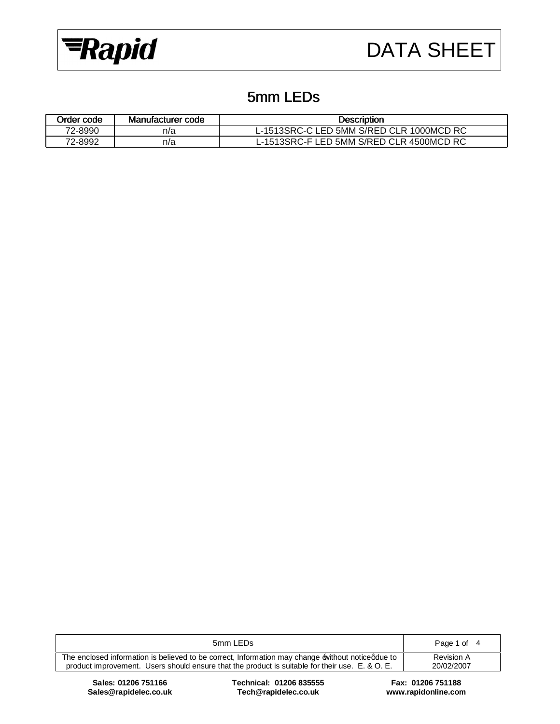

## 5mm LEDs

| Order code | Manufacturer code | <b>Description</b>                       |
|------------|-------------------|------------------------------------------|
| 72-8990    | n/a               | L-1513SRC-C LED 5MM S/RED CLR 1000MCD RC |
| 72-8992    | n/a               | L-1513SRC-F LED 5MM S/RED CLR 4500MCD RC |

| 5mm LEDs                                                                                        | Page 1 of 4 |
|-------------------------------------------------------------------------------------------------|-------------|
| The enclosed information is believed to be correct, Information may change without noticedue to | Revision A  |
| product improvement. Users should ensure that the product is suitable for their use. E. & O. E. | 20/02/2007  |
|                                                                                                 |             |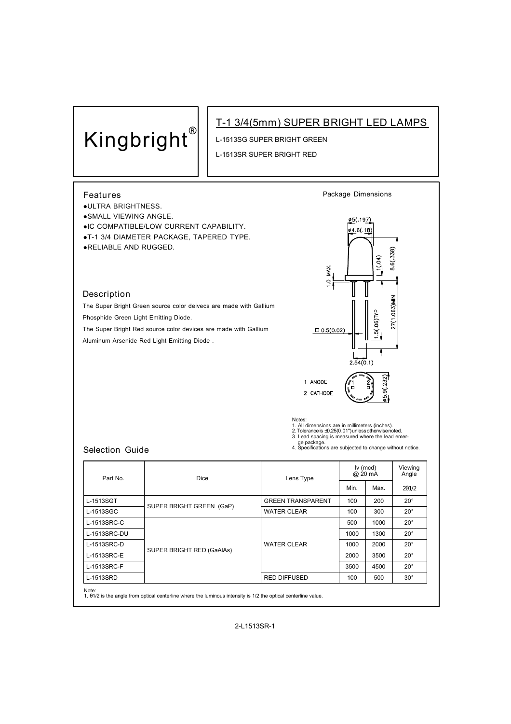## **Kingbright®**

## **T-1 3/4(5mm) SUPER BRIGHT LED LAMPS**

L-1513SG SUPER BRIGHT GREEN

L-1513SR SUPER BRIGHT RED



Note:

1. θ1/2 is the angle from optical centerline where the luminous intensity is 1/2 the optical centerline value.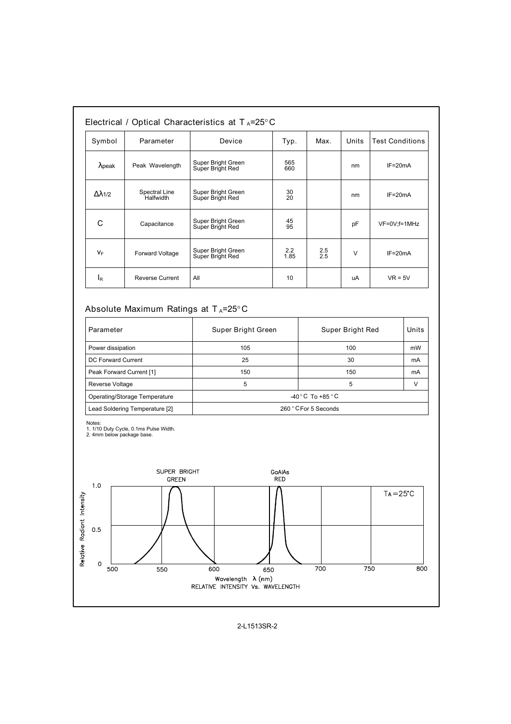| Symbol         | Parameter                         | Device                                 | Typ.            | Max.       | Units | <b>Test Conditions</b> |
|----------------|-----------------------------------|----------------------------------------|-----------------|------------|-------|------------------------|
| $\lambda$ peak | Peak Wavelength                   | Super Bright Green<br>Super Bright Red | 565<br>660      |            | nm    | $IF=20mA$              |
| Δλ1/2          | Spectral Line<br><b>Halfwidth</b> | Super Bright Green<br>Super Bright Red | 30<br>20        |            | nm    | $IF=20mA$              |
| С              | Capacitance                       | Super Bright Green<br>Super Bright Red | 45<br>95        |            | pF    | VF=0V;f=1MHz           |
| $V_F$          | <b>Forward Voltage</b>            | Super Bright Green<br>Super Bright Red | 2.2<br>1.85     | 2.5<br>2.5 | V     | $IF = 20mA$            |
| IR             | <b>Reverse Current</b>            | All                                    | 10 <sup>1</sup> |            | uA    | $VR = 5V$              |

## **Absolute Maximum Ratings at T <sup>A</sup>=25°C**

| Parameter                      | Super Bright Green                | Super Bright Red | Units  |  |
|--------------------------------|-----------------------------------|------------------|--------|--|
| Power dissipation              | 105                               | 100              | mW     |  |
| DC Forward Current             | 25                                | 30               | mA     |  |
| Peak Forward Current [1]       | 150                               | 150              | mA     |  |
| Reverse Voltage                | 5                                 | 5                | $\vee$ |  |
| Operating/Storage Temperature  | $-40\degree$ C To +85 $\degree$ C |                  |        |  |
| Lead Soldering Temperature [2] | 260 ° C For 5 Seconds             |                  |        |  |

Notes: 1. 1/10 Duty Cycle, 0.1ms Pulse Width. 2. 4mm below package base.